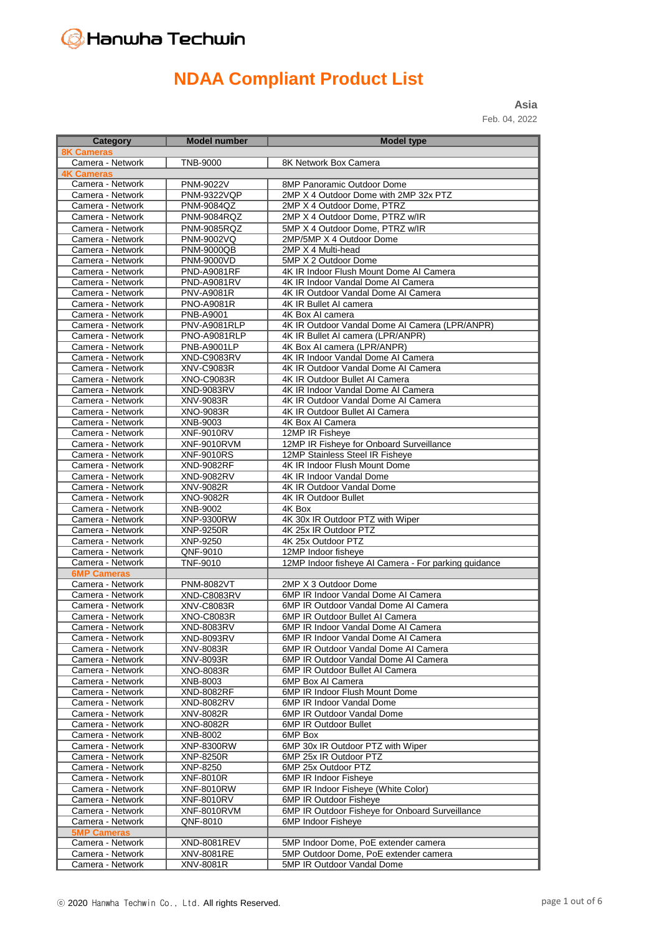# Hanwha Techwin

# **NDAA Compliant Product List**

**Asia** Feb. 04, 2022

| Category                               | <b>Model number</b>                      | <b>Model type</b>                                                             |
|----------------------------------------|------------------------------------------|-------------------------------------------------------------------------------|
| <b>8K Cameras</b>                      |                                          |                                                                               |
| Camera - Network                       | <b>TNB-9000</b>                          | 8K Network Box Camera                                                         |
| <b>4K Cameras</b>                      |                                          |                                                                               |
| Camera - Network                       | <b>PNM-9022V</b>                         | 8MP Panoramic Outdoor Dome                                                    |
| Camera - Network                       | <b>PNM-9322VQP</b>                       | 2MP X 4 Outdoor Dome with 2MP 32x PTZ                                         |
| Camera - Network                       | PNM-9084QZ                               | 2MP X 4 Outdoor Dome, PTRZ                                                    |
| Camera - Network                       | PNM-9084RQZ                              | 2MP X 4 Outdoor Dome, PTRZ w/IR                                               |
| Camera - Network                       | <b>PNM-9085RQZ</b>                       | 5MP X 4 Outdoor Dome, PTRZ w/IR                                               |
| Camera - Network                       | <b>PNM-9002VQ</b>                        | 2MP/5MP X 4 Outdoor Dome                                                      |
| Camera - Network                       | <b>PNM-9000QB</b>                        | 2MP X 4 Multi-head                                                            |
| Camera - Network                       | <b>PNM-9000VD</b>                        | 5MP X 2 Outdoor Dome                                                          |
| Camera - Network                       | <b>PND-A9081RF</b><br><b>PND-A9081RV</b> | 4K IR Indoor Flush Mount Dome AI Camera<br>4K IR Indoor Vandal Dome AI Camera |
| Camera - Network<br>Camera - Network   | <b>PNV-A9081R</b>                        | 4K IR Outdoor Vandal Dome AI Camera                                           |
| Camera - Network                       | <b>PNO-A9081R</b>                        | 4K IR Bullet AI camera                                                        |
| Camera - Network                       | PNB-A9001                                | 4K Box AI camera                                                              |
| Camera - Network                       | PNV-A9081RLP                             | 4K IR Outdoor Vandal Dome AI Camera (LPR/ANPR)                                |
| Camera - Network                       | PNO-A9081RLP                             | 4K IR Bullet AI camera (LPR/ANPR)                                             |
| Camera - Network                       | <b>PNB-A9001LP</b>                       | 4K Box AI camera (LPR/ANPR)                                                   |
| Camera - Network                       | XND-C9083RV                              | 4K IR Indoor Vandal Dome AI Camera                                            |
| Camera - Network                       | <b>XNV-C9083R</b>                        | 4K IR Outdoor Vandal Dome AI Camera                                           |
| Camera - Network                       | <b>XNO-C9083R</b>                        | 4K IR Outdoor Bullet AI Camera                                                |
| Camera - Network                       | XND-9083RV                               | 4K IR Indoor Vandal Dome AI Camera                                            |
| Camera - Network                       | XNV-9083R                                | 4K IR Outdoor Vandal Dome AI Camera                                           |
| Camera - Network                       | XNO-9083R                                | 4K IR Outdoor Bullet AI Camera                                                |
| Camera - Network                       | XNB-9003                                 | 4K Box AI Camera                                                              |
| Camera - Network                       | <b>XNF-9010RV</b>                        | 12MP IR Fisheye                                                               |
| Camera - Network                       | <b>XNF-9010RVM</b>                       | 12MP IR Fisheye for Onboard Surveillance                                      |
| Camera - Network                       | <b>XNF-9010RS</b>                        | 12MP Stainless Steel IR Fisheye                                               |
| Camera - Network                       | <b>XND-9082RF</b>                        | 4K IR Indoor Flush Mount Dome                                                 |
| Camera - Network<br>Camera - Network   | XND-9082RV<br>XNV-9082R                  | 4K IR Indoor Vandal Dome<br>4K IR Outdoor Vandal Dome                         |
| Camera - Network                       | XNO-9082R                                | 4K IR Outdoor Bullet                                                          |
| Camera - Network                       | XNB-9002                                 | 4K Box                                                                        |
| Camera - Network                       | <b>XNP-9300RW</b>                        | 4K 30x IR Outdoor PTZ with Wiper                                              |
| Camera - Network                       | XNP-9250R                                | 4K 25x IR Outdoor PTZ                                                         |
| Camera - Network                       | XNP-9250                                 | 4K 25x Outdoor PTZ                                                            |
| Camera - Network                       | QNF-9010                                 | 12MP Indoor fisheve                                                           |
| Camera - Network                       | <b>TNF-9010</b>                          | 12MP Indoor fisheye AI Camera - For parking guidance                          |
| <b>6MP Cameras</b>                     |                                          |                                                                               |
| Camera - Network                       | <b>PNM-8082VT</b>                        | 2MP X 3 Outdoor Dome                                                          |
| Camera - Network                       | <b>XND-C8083RV</b>                       | 6MP IR Indoor Vandal Dome AI Camera                                           |
| Camera - Network                       | <b>XNV-C8083R</b>                        | 6MP IR Outdoor Vandal Dome AI Camera                                          |
| Camera - Network                       | <b>XNO-C8083R</b>                        | 6MP IR Outdoor Bullet AI Camera                                               |
| Camera - Network                       | <b>XND-8083RV</b>                        | 6MP IR Indoor Vandal Dome AI Camera                                           |
| Camera - Network                       | XND-8093RV                               | 6MP IR Indoor Vandal Dome AI Camera                                           |
| Camera - Network<br>Camera - Network   | XNV-8083R                                | 6MP IR Outdoor Vandal Dome AI Camera<br>6MP IR Outdoor Vandal Dome AI Camera  |
| Camera - Network                       | XNV-8093R<br><b>XNO-8083R</b>            | 6MP IR Outdoor Bullet AI Camera                                               |
| Camera - Network                       | XNB-8003                                 | 6MP Box AI Camera                                                             |
| Camera - Network                       | <b>XND-8082RF</b>                        | 6MP IR Indoor Flush Mount Dome                                                |
| Camera - Network                       | XND-8082RV                               | 6MP IR Indoor Vandal Dome                                                     |
| Camera - Network                       | XNV-8082R                                | 6MP IR Outdoor Vandal Dome                                                    |
| Camera - Network                       | XNO-8082R                                | 6MP IR Outdoor Bullet                                                         |
| Camera - Network                       | XNB-8002                                 | 6MP Box                                                                       |
| Camera - Network                       | XNP-8300RW                               | 6MP 30x IR Outdoor PTZ with Wiper                                             |
| Camera - Network                       | XNP-8250R                                | 6MP 25x IR Outdoor PTZ                                                        |
| Camera - Network                       | XNP-8250                                 | 6MP 25x Outdoor PTZ                                                           |
| Camera - Network                       | <b>XNF-8010R</b>                         | 6MP IR Indoor Fisheye                                                         |
| Camera - Network                       | <b>XNF-8010RW</b>                        | 6MP IR Indoor Fisheye (White Color)                                           |
| Camera - Network                       | <b>XNF-8010RV</b>                        | 6MP IR Outdoor Fisheye                                                        |
| Camera - Network                       | <b>XNF-8010RVM</b>                       | 6MP IR Outdoor Fisheye for Onboard Surveillance                               |
| Camera - Network<br><b>5MP Cameras</b> | QNF-8010                                 | 6MP Indoor Fisheye                                                            |
| Camera - Network                       | <b>XND-8081REV</b>                       | 5MP Indoor Dome, PoE extender camera                                          |
| Camera - Network                       | XNV-8081RE                               | 5MP Outdoor Dome, PoE extender camera                                         |
| Camera - Network                       | XNV-8081R                                | 5MP IR Outdoor Vandal Dome                                                    |
|                                        |                                          |                                                                               |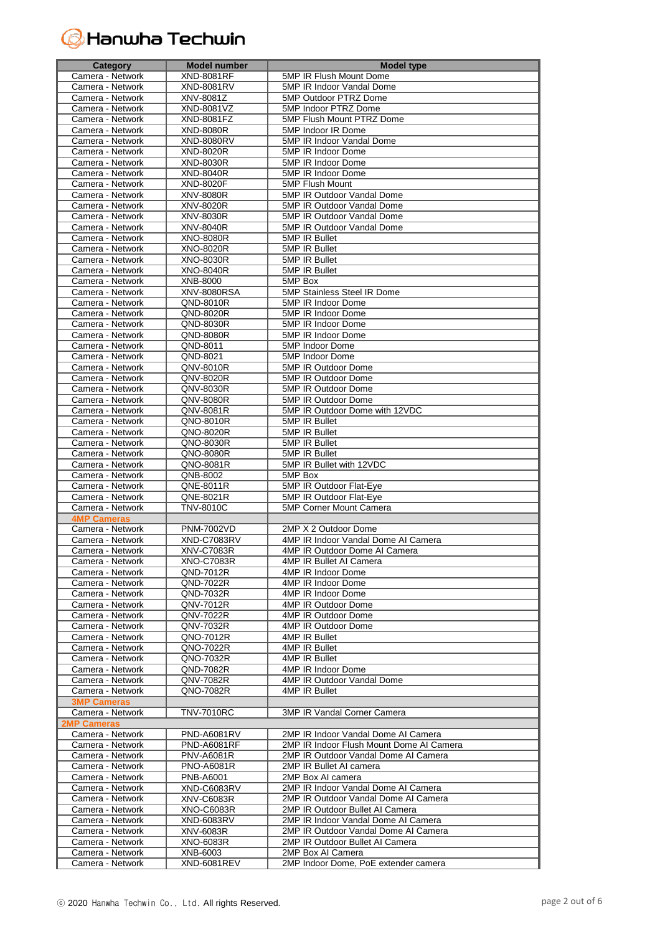# **G** Hanwha Techwin

| <b>Category</b>                        | <b>Model number</b>    | <b>Model type</b>                           |
|----------------------------------------|------------------------|---------------------------------------------|
| Camera - Network                       | <b>XND-8081RF</b>      | 5MP IR Flush Mount Dome                     |
| Camera - Network                       | <b>XND-8081RV</b>      | 5MP IR Indoor Vandal Dome                   |
| Camera - Network                       | <b>XNV-8081Z</b>       | 5MP Outdoor PTRZ Dome                       |
| Camera - Network                       | XND-8081VZ             | 5MP Indoor PTRZ Dome                        |
| Camera - Network                       | XND-8081FZ             | 5MP Flush Mount PTRZ Dome                   |
| Camera - Network                       | XND-8080R              | 5MP Indoor IR Dome                          |
| Camera - Network                       | <b>XND-8080RV</b>      | 5MP IR Indoor Vandal Dome                   |
| Camera - Network                       | XND-8020R              | 5MP IR Indoor Dome                          |
| Camera - Network                       | XND-8030R              | 5MP IR Indoor Dome                          |
| Camera - Network                       | <b>XND-8040R</b>       | 5MP IR Indoor Dome                          |
| Camera - Network                       | <b>XND-8020F</b>       | 5MP Flush Mount                             |
| Camera - Network                       | <b>XNV-8080R</b>       | 5MP IR Outdoor Vandal Dome                  |
| Camera - Network                       | XNV-8020R              | 5MP IR Outdoor Vandal Dome                  |
| Camera - Network                       | XNV-8030R              | 5MP IR Outdoor Vandal Dome                  |
| Camera - Network                       | <b>XNV-8040R</b>       | 5MP IR Outdoor Vandal Dome                  |
| Camera - Network                       | <b>XNO-8080R</b>       | 5MP IR Bullet                               |
| Camera - Network                       | XNO-8020R              | 5MP IR Bullet                               |
| Camera - Network                       | <b>XNO-8030R</b>       | 5MP IR Bullet                               |
| Camera - Network                       | XNO-8040R              | 5MP IR Bullet                               |
| Camera - Network                       | XNB-8000               | 5MP Box                                     |
| Camera - Network                       | <b>XNV-8080RSA</b>     | 5MP Stainless Steel IR Dome                 |
| Camera - Network                       | QND-8010R              | 5MP IR Indoor Dome                          |
| Camera - Network                       | QND-8020R              | 5MP IR Indoor Dome                          |
| Camera - Network<br>Camera - Network   | QND-8030R              | 5MP IR Indoor Dome                          |
|                                        | QND-8080R<br>QND-8011  | 5MP IR Indoor Dome                          |
| Camera - Network<br>Camera - Network   | QND-8021               | 5MP Indoor Dome<br>5MP Indoor Dome          |
| Camera - Network                       | QNV-8010R              | 5MP IR Outdoor Dome                         |
| Camera - Network                       | QNV-8020R              | 5MP IR Outdoor Dome                         |
| Camera - Network                       | QNV-8030R              | 5MP IR Outdoor Dome                         |
| Camera - Network                       | <b>QNV-8080R</b>       | 5MP IR Outdoor Dome                         |
| Camera - Network                       | QNV-8081R              | 5MP IR Outdoor Dome with 12VDC              |
| Camera - Network                       | QNO-8010R              | 5MP IR Bullet                               |
| Camera - Network                       | QNO-8020R              | 5MP IR Bullet                               |
| Camera - Network                       | QNO-8030R              | 5MP IR Bullet                               |
| Camera - Network                       | QNO-8080R              | 5MP IR Bullet                               |
| Camera - Network                       | QNO-8081R              | 5MP IR Bullet with 12VDC                    |
| Camera - Network                       | $\overline{QNB}$ -8002 | 5MP Box                                     |
| Camera - Network                       | QNE-8011R              | 5MP IR Outdoor Flat-Eye                     |
| Camera - Network                       | QNE-8021R              | 5MP IR Outdoor Flat-Eye                     |
| Camera - Network                       | <b>TNV-8010C</b>       | <b>5MP Corner Mount Camera</b>              |
| <b>4MP Cameras</b>                     |                        |                                             |
| Camera - Network                       | <b>PNM-7002VD</b>      | 2MP X 2 Outdoor Dome                        |
| Camera - Network                       | XND-C7083RV            | 4MP IR Indoor Vandal Dome AI Camera         |
| Camera - Network                       | <b>XNV-C7083R</b>      | 4MP IR Outdoor Dome AI Camera               |
| Camera - Network                       | XNO-C7083R             | 4MP IR Bullet AI Camera                     |
| Camera - Network                       | QND-7012R              | 4MP IR Indoor Dome                          |
| Camera - Network                       | QND-7022R              | 4MP IR Indoor Dome                          |
| Camera - Network                       | QND-7032R              | 4MP IR Indoor Dome                          |
| Camera - Network                       | QNV-7012R              | 4MP IR Outdoor Dome                         |
| Camera - Network                       | QNV-7022R              | 4MP IR Outdoor Dome                         |
| Camera - Network                       | QNV-7032R              | 4MP IR Outdoor Dome                         |
| Camera - Network                       | QNO-7012R              | 4MP IR Bullet                               |
| Camera - Network                       | QNO-7022R              | 4MP IR Bullet                               |
| Camera - Network                       | QNO-7032R              | 4MP IR Bullet                               |
| Camera - Network                       | QND-7082R<br>QNV-7082R | 4MP IR Indoor Dome                          |
| Camera - Network                       | QNO-7082R              | 4MP IR Outdoor Vandal Dome<br>4MP IR Bullet |
| Camera - Network<br><b>3MP Cameras</b> |                        |                                             |
| Camera - Network                       | TNV-7010RC             | 3MP IR Vandal Corner Camera                 |
| <b>2MP Cameras</b>                     |                        |                                             |
| Camera - Network                       | PND-A6081RV            | 2MP IR Indoor Vandal Dome AI Camera         |
| Camera - Network                       | <b>PND-A6081RF</b>     | 2MP IR Indoor Flush Mount Dome AI Camera    |
| Camera - Network                       | PNV-A6081R             | 2MP IR Outdoor Vandal Dome AI Camera        |
| Camera - Network                       | <b>PNO-A6081R</b>      | 2MP IR Bullet AI camera                     |
| Camera - Network                       | PNB-A6001              | 2MP Box AI camera                           |
| Camera - Network                       | XND-C6083RV            | 2MP IR Indoor Vandal Dome AI Camera         |
| Camera - Network                       | XNV-C6083R             | 2MP IR Outdoor Vandal Dome AI Camera        |
| Camera - Network                       | XNO-C6083R             | 2MP IR Outdoor Bullet AI Camera             |
| Camera - Network                       | XND-6083RV             | 2MP IR Indoor Vandal Dome AI Camera         |
| Camera - Network                       | XNV-6083R              | 2MP IR Outdoor Vandal Dome AI Camera        |
| Camera - Network                       | XNO-6083R              | 2MP IR Outdoor Bullet AI Camera             |
| Camera - Network                       | XNB-6003               | 2MP Box AI Camera                           |
| Camera - Network                       | XND-6081REV            | 2MP Indoor Dome, PoE extender camera        |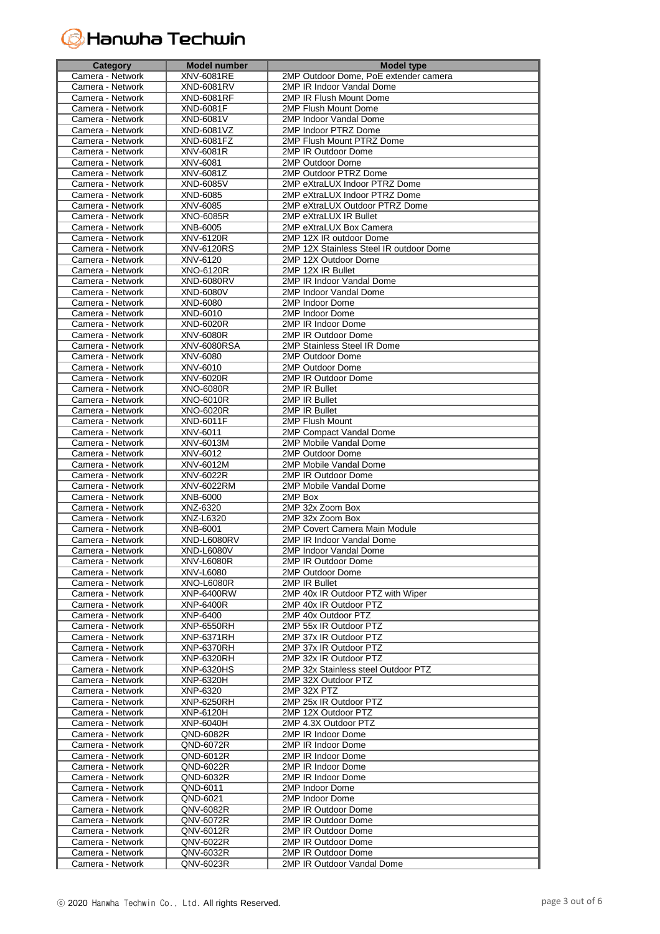# **G** Hanwha Techwin

| Category                             | <b>Model number</b>            | <b>Model type</b>                                |
|--------------------------------------|--------------------------------|--------------------------------------------------|
| Camera - Network                     | XNV-6081RE                     | 2MP Outdoor Dome, PoE extender camera            |
| Camera - Network                     | XND-6081RV                     | 2MP IR Indoor Vandal Dome                        |
| Camera - Network                     | <b>XND-6081RF</b>              | 2MP IR Flush Mount Dome                          |
| Camera - Network                     | XND-6081F                      | 2MP Flush Mount Dome                             |
| Camera - Network                     | <b>XND-6081V</b>               | 2MP Indoor Vandal Dome                           |
| Camera - Network                     | XND-6081VZ                     | 2MP Indoor PTRZ Dome                             |
| Camera - Network                     | <b>XND-6081FZ</b>              | 2MP Flush Mount PTRZ Dome                        |
| Camera - Network                     | XNV-6081R                      | 2MP IR Outdoor Dome                              |
| Camera - Network                     | XNV-6081                       | 2MP Outdoor Dome                                 |
| Camera - Network                     | XNV-6081Z                      | 2MP Outdoor PTRZ Dome                            |
| Camera - Network                     | XND-6085V                      | 2MP eXtraLUX Indoor PTRZ Dome                    |
| Camera - Network                     | XND-6085                       | 2MP eXtraLUX Indoor PTRZ Dome                    |
| Camera - Network                     | XNV-6085                       | 2MP eXtraLUX Outdoor PTRZ Dome                   |
| Camera - Network                     | XNO-6085R                      | 2MP eXtraLUX IR Bullet                           |
| Camera - Network                     | XNB-6005                       | 2MP eXtraLUX Box Camera                          |
| Camera - Network                     | XNV-6120R                      | 2MP 12X IR outdoor Dome                          |
| Camera - Network                     | <b>XNV-6120RS</b>              | 2MP 12X Stainless Steel IR outdoor Dome          |
| Camera - Network                     | XNV-6120                       | 2MP 12X Outdoor Dome                             |
| Camera - Network                     | XNO-6120R                      | 2MP 12X IR Bullet                                |
| Camera - Network                     | <b>XND-6080RV</b>              | 2MP IR Indoor Vandal Dome                        |
| Camera - Network                     | <b>XND-6080V</b>               | 2MP Indoor Vandal Dome                           |
| Camera - Network                     | XND-6080                       | 2MP Indoor Dome                                  |
| Camera - Network                     | XND-6010                       | 2MP Indoor Dome                                  |
| Camera - Network                     | <b>XND-6020R</b>               | 2MP IR Indoor Dome                               |
| Camera - Network                     | XNV-6080R                      | 2MP IR Outdoor Dome                              |
| Camera - Network                     | <b>XNV-6080RSA</b>             | 2MP Stainless Steel IR Dome                      |
| Camera - Network                     | XNV-6080                       | 2MP Outdoor Dome                                 |
| Camera - Network                     | XNV-6010                       | 2MP Outdoor Dome                                 |
| Camera - Network                     | XNV-6020R                      | 2MP IR Outdoor Dome                              |
| Camera - Network                     | <b>XNO-6080R</b>               | 2MP IR Bullet                                    |
| Camera - Network                     | $XNO-6010R$                    | 2MP IR Bullet                                    |
| Camera - Network                     | <b>XNO-6020R</b>               | 2MP IR Bullet                                    |
| Camera - Network                     | XND-6011F                      | 2MP Flush Mount                                  |
| Camera - Network                     | XNV-6011                       | 2MP Compact Vandal Dome                          |
| Camera - Network                     | XNV-6013M                      | 2MP Mobile Vandal Dome                           |
| Camera - Network                     | XNV-6012                       | 2MP Outdoor Dome                                 |
| Camera - Network                     | XNV-6012M                      | 2MP Mobile Vandal Dome                           |
| Camera - Network                     | XNV-6022R                      | 2MP IR Outdoor Dome                              |
| Camera - Network                     | XNV-6022RM                     | 2MP Mobile Vandal Dome                           |
| Camera - Network                     | XNB-6000                       | 2MP Box                                          |
| Camera - Network                     | XNZ-6320                       | 2MP 32x Zoom Box                                 |
| Camera - Network                     | XNZ-L6320                      | 2MP 32x Zoom Box                                 |
| Camera - Network                     | XNB-6001                       | 2MP Covert Camera Main Module                    |
| Camera - Network                     | <b>XND-L6080RV</b>             | 2MP IR Indoor Vandal Dome                        |
| Camera - Network                     | <b>XND-L6080V</b>              | 2MP Indoor Vandal Dome                           |
|                                      | XNV-L6080R                     | 2MP IR Outdoor Dome                              |
| Camera - Network<br>Camera - Network | XNV-L6080                      | 2MP Outdoor Dome                                 |
| Camera - Network                     | XNO-L6080R                     | 2MP IR Bullet                                    |
| Camera - Network                     | <b>XNP-6400RW</b>              | 2MP 40x IR Outdoor PTZ with Wiper                |
| Camera - Network                     | XNP-6400R                      | 2MP 40x IR Outdoor PTZ                           |
| Camera - Network                     | XNP-6400                       | 2MP 40x Outdoor PTZ                              |
| Camera - Network                     | <b>XNP-6550RH</b>              | 2MP 55x IR Outdoor PTZ                           |
| Camera - Network                     | XNP-6371RH                     | 2MP 37x IR Outdoor PTZ                           |
| Camera - Network                     |                                |                                                  |
| Camera - Network                     | XNP-6370RH<br>XNP-6320RH       | 2MP 37x IR Outdoor PTZ<br>2MP 32x IR Outdoor PTZ |
| Camera - Network                     | XNP-6320HS                     | 2MP 32x Stainless steel Outdoor PTZ              |
| Camera - Network                     | XNP-6320H                      | 2MP 32X Outdoor PTZ                              |
| Camera - Network                     | XNP-6320                       | 2MP 32X PTZ                                      |
|                                      |                                |                                                  |
| Camera - Network<br>Camera - Network | <b>XNP-6250RH</b><br>XNP-6120H | 2MP 25x IR Outdoor PTZ<br>2MP 12X Outdoor PTZ    |
|                                      |                                |                                                  |
| Camera - Network                     | XNP-6040H                      | 2MP 4.3X Outdoor PTZ                             |
| Camera - Network                     | QND-6082R                      | 2MP IR Indoor Dome                               |
| Camera - Network                     | QND-6072R                      | 2MP IR Indoor Dome                               |
| Camera - Network                     | QND-6012R                      | 2MP IR Indoor Dome                               |
| Camera - Network                     | QND-6022R                      | 2MP IR Indoor Dome                               |
| Camera - Network                     | QND-6032R                      | 2MP IR Indoor Dome                               |
| Camera - Network                     | QND-6011                       | 2MP Indoor Dome                                  |
| Camera - Network                     | QND-6021                       | 2MP Indoor Dome                                  |
| Camera - Network                     | QNV-6082R                      | 2MP IR Outdoor Dome                              |
| Camera - Network                     | QNV-6072R                      | 2MP IR Outdoor Dome                              |
| Camera - Network                     | QNV-6012R                      | 2MP IR Outdoor Dome                              |
| Camera - Network                     | QNV-6022R                      | 2MP IR Outdoor Dome                              |
| Camera - Network                     | QNV-6032R                      | 2MP IR Outdoor Dome                              |
| Camera - Network                     | QNV-6023R                      | 2MP IR Outdoor Vandal Dome                       |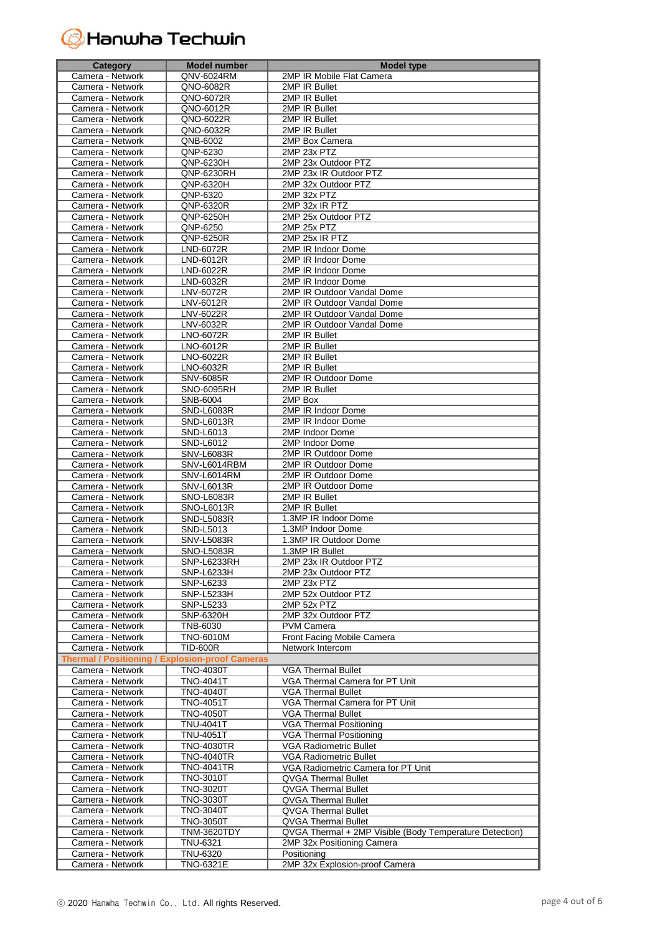# **G** Hanwha Techwin

| <b>Category</b>                                        | Model number                    | <b>Model type</b>                                        |
|--------------------------------------------------------|---------------------------------|----------------------------------------------------------|
| Camera - Network                                       | QNV-6024RM                      | 2MP IR Mobile Flat Camera                                |
| Camera - Network                                       | QNO-6082R                       | 2MP IR Bullet                                            |
| Camera - Network                                       | QNO-6072R                       | 2MP IR Bullet                                            |
| Camera - Network                                       | QNO-6012R                       | 2MP IR Bullet                                            |
| Camera - Network                                       | QNO-6022R                       | 2MP IR Bullet                                            |
| Camera - Network                                       | QNO-6032R                       | 2MP IR Bullet                                            |
| Camera - Network                                       | QNB-6002                        | 2MP Box Camera                                           |
| Camera - Network                                       | QNP-6230                        | 2MP 23x PTZ                                              |
| Camera - Network                                       | QNP-6230H                       | 2MP 23x Outdoor PTZ                                      |
|                                                        | <b>QNP-6230RH</b>               |                                                          |
| Camera - Network                                       |                                 | 2MP 23x IR Outdoor PTZ                                   |
| Camera - Network                                       | QNP-6320H                       | 2MP 32x Outdoor PTZ                                      |
| Camera - Network                                       | QNP-6320                        | 2MP 32x PTZ                                              |
| Camera - Network                                       | QNP-6320R                       | 2MP 32x IR PTZ                                           |
| Camera - Network                                       | QNP-6250H                       | 2MP 25x Outdoor PTZ                                      |
| Camera - Network                                       | QNP-6250                        | 2MP 25x PTZ                                              |
| Camera - Network                                       | QNP-6250R                       | 2MP 25x IR PTZ                                           |
| Camera - Network                                       | LND-6072R                       | 2MP IR Indoor Dome                                       |
| Camera - Network                                       | LND-6012R                       | 2MP IR Indoor Dome                                       |
| Camera - Network                                       | LND-6022R                       | 2MP IR Indoor Dome                                       |
| Camera - Network                                       | LND-6032R                       | 2MP IR Indoor Dome                                       |
| Camera - Network                                       | LNV-6072R                       | 2MP IR Outdoor Vandal Dome                               |
| Camera - Network                                       | LNV-6012R                       | 2MP IR Outdoor Vandal Dome                               |
| Camera - Network                                       | LNV-6022R                       | 2MP IR Outdoor Vandal Dome                               |
| Camera - Network                                       | LNV-6032R                       | 2MP IR Outdoor Vandal Dome                               |
| Camera - Network                                       | LNO-6072R                       | 2MP IR Bullet                                            |
| Camera - Network                                       | LNO-6012R                       | 2MP IR Bullet                                            |
| Camera - Network                                       | LNO-6022R                       | 2MP IR Bullet                                            |
| Camera - Network                                       | LNO-6032R                       | 2MP IR Bullet                                            |
| Camera - Network                                       | <b>SNV-6085R</b>                | 2MP IR Outdoor Dome                                      |
| Camera - Network                                       | SNO-6095RH                      | 2MP IR Bullet                                            |
|                                                        |                                 | 2MP Box                                                  |
| Camera - Network                                       | SNB-6004                        |                                                          |
| Camera - Network                                       | <b>SND-L6083R</b>               | 2MP IR Indoor Dome                                       |
| Camera - Network                                       | SND-L6013R                      | 2MP IR Indoor Dome                                       |
| Camera - Network                                       | SND-L6013                       | 2MP Indoor Dome                                          |
| Camera - Network                                       | SND-L6012                       | 2MP Indoor Dome                                          |
| Camera - Network                                       | <b>SNV-L6083R</b>               | 2MP IR Outdoor Dome                                      |
| Camera - Network                                       | SNV-L6014RBM                    | 2MP IR Outdoor Dome                                      |
| Camera - Network                                       | SNV-L6014RM                     | 2MP IR Outdoor Dome                                      |
| Camera - Network                                       | <b>SNV-L6013R</b>               | 2MP IR Outdoor Dome                                      |
| Camera - Network                                       | <b>SNO-L6083R</b>               | 2MP IR Bullet                                            |
| Camera - Network                                       | SNO-L6013R                      | 2MP IR Bullet                                            |
| Camera - Network                                       | <b>SND-L5083R</b>               | 1.3MP IR Indoor Dome                                     |
| Camera - Network                                       | SND-L5013                       | 1.3MP Indoor Dome                                        |
| Camera - Network                                       | <b>SNV-L5083R</b>               | 1.3MP IR Outdoor Dome                                    |
| Camera - Network                                       | SNO-L5083R                      | 1.3MP IR Bullet                                          |
| Camera - Network                                       | SNP-L6233RH                     | 2MP 23x IR Outdoor PTZ                                   |
| Camera - Network                                       | SNP-L6233H                      | 2MP 23x Outdoor PTZ                                      |
| Camera - Network                                       | SNP-L6233                       | 2MP 23x PTZ                                              |
| Camera - Network                                       | <b>SNP-L5233H</b>               | 2MP 52x Outdoor PTZ                                      |
| Camera - Network                                       | SNP-L5233                       | 2MP 52x PTZ                                              |
| Camera - Network                                       | SNP-6320H                       | 2MP 32x Outdoor PTZ                                      |
| Camera - Network                                       | <b>TNB-6030</b>                 | <b>PVM Camera</b>                                        |
| Camera - Network                                       | <b>TNO-6010M</b>                | Front Facing Mobile Camera                               |
| Camera - Network                                       | <b>TID-600R</b>                 | Network Intercom                                         |
| <b>Thermal / Positioning / Explosion-proof Cameras</b> |                                 |                                                          |
| Camera - Network                                       | <b>TNO-4030T</b>                | <b>VGA Thermal Bullet</b>                                |
| Camera - Network                                       | <b>TNO-4041T</b>                | VGA Thermal Camera for PT Unit                           |
| Camera - Network                                       | <b>TNO-4040T</b>                | <b>VGA Thermal Bullet</b>                                |
| Camera - Network                                       | <b>TNO-4051T</b>                | VGA Thermal Camera for PT Unit                           |
| Camera - Network                                       | <b>TNO-4050T</b>                | <b>VGA Thermal Bullet</b>                                |
| Camera - Network                                       | <b>TNU-4041T</b>                | <b>VGA Thermal Positioning</b>                           |
| Camera - Network                                       | TNU-4051T                       | <b>VGA Thermal Positioning</b>                           |
| Camera - Network                                       | <b>TNO-4030TR</b>               | <b>VGA Radiometric Bullet</b>                            |
| Camera - Network                                       | TNO-4040TR                      | <b>VGA Radiometric Bullet</b>                            |
| Camera - Network                                       | <b>TNO-4041TR</b>               | VGA Radiometric Camera for PT Unit                       |
| Camera - Network                                       | <b>TNO-3010T</b>                | <b>QVGA Thermal Bullet</b>                               |
|                                                        | <b>TNO-3020T</b>                |                                                          |
| Camera - Network<br>Camera - Network                   | <b>TNO-3030T</b>                | QVGA Thermal Bullet                                      |
| Camera - Network                                       | <b>TNO-3040T</b>                | QVGA Thermal Bullet                                      |
| Camera - Network                                       |                                 | <b>QVGA Thermal Bullet</b><br><b>QVGA Thermal Bullet</b> |
| Camera - Network                                       | TNO-3050T<br><b>TNM-3620TDY</b> | QVGA Thermal + 2MP Visible (Body Temperature Detection)  |
|                                                        |                                 |                                                          |
| Camera - Network                                       | <b>TNU-6321</b>                 | 2MP 32x Positioning Camera                               |
| Camera - Network                                       | TNU-6320                        | Positioning                                              |
| Camera - Network                                       | <b>TNO-6321E</b>                | 2MP 32x Explosion-proof Camera                           |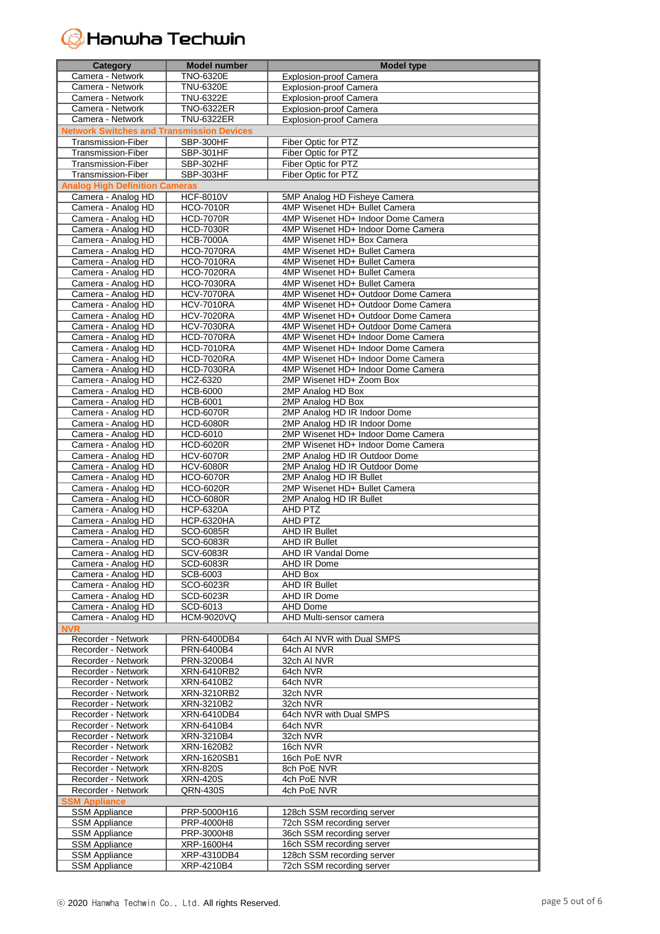#### **H**anwha Techwin  $(\epsilon$

| Category                                         | <b>Model number</b> | <b>Model type</b>                   |
|--------------------------------------------------|---------------------|-------------------------------------|
| Camera - Network                                 | <b>TNO-6320E</b>    | <b>Explosion-proof Camera</b>       |
| Camera - Network                                 | <b>TNU-6320E</b>    | Explosion-proof Camera              |
| Camera - Network                                 | TNU-6322E           | <b>Explosion-proof Camera</b>       |
| Camera - Network                                 |                     |                                     |
|                                                  | <b>TNO-6322ER</b>   | Explosion-proof Camera              |
| Camera - Network                                 | <b>TNU-6322ER</b>   | Explosion-proof Camera              |
| <b>Network Switches and Transmission Devices</b> |                     |                                     |
| Transmission-Fiber                               | SBP-300HF           | Fiber Optic for PTZ                 |
| Transmission-Fiber                               | SBP-301HF           | Fiber Optic for PTZ                 |
| Transmission-Fiber                               | SBP-302HF           | Fiber Optic for PTZ                 |
| Transmission-Fiber                               | SBP-303HF           | Fiber Optic for PTZ                 |
| <b>Analog High Definition Cameras</b>            |                     |                                     |
|                                                  |                     |                                     |
| Camera - Analog HD                               | <b>HCF-8010V</b>    | 5MP Analog HD Fisheye Camera        |
| Camera - Analog HD                               | <b>HCO-7010R</b>    | 4MP Wisenet HD+ Bullet Camera       |
| Camera - Analog HD                               | <b>HCD-7070R</b>    | 4MP Wisenet HD+ Indoor Dome Camera  |
| Camera - Analog HD                               | <b>HCD-7030R</b>    | 4MP Wisenet HD+ Indoor Dome Camera  |
| Camera - Analog HD                               | <b>HCB-7000A</b>    | 4MP Wisenet HD+ Box Camera          |
| Camera - Analog HD                               | <b>HCO-7070RA</b>   | 4MP Wisenet HD+ Bullet Camera       |
| Camera - Analog HD                               | <b>HCO-7010RA</b>   | 4MP Wisenet HD+ Bullet Camera       |
| Camera - Analog HD                               | <b>HCO-7020RA</b>   | 4MP Wisenet HD+ Bullet Camera       |
|                                                  |                     | 4MP Wisenet HD+ Bullet Camera       |
| Camera - Analog HD                               | <b>HCO-7030RA</b>   |                                     |
| Camera - Analog HD                               | <b>HCV-7070RA</b>   | 4MP Wisenet HD+ Outdoor Dome Camera |
| Camera - Analog HD                               | <b>HCV-7010RA</b>   | 4MP Wisenet HD+ Outdoor Dome Camera |
| Camera - Analog HD                               | <b>HCV-7020RA</b>   | 4MP Wisenet HD+ Outdoor Dome Camera |
| Camera - Analog HD                               | <b>HCV-7030RA</b>   | 4MP Wisenet HD+ Outdoor Dome Camera |
| Camera - Analog HD                               | <b>HCD-7070RA</b>   | 4MP Wisenet HD+ Indoor Dome Camera  |
| Camera - Analog HD                               | <b>HCD-7010RA</b>   | 4MP Wisenet HD+ Indoor Dome Camera  |
| Camera - Analog HD                               | <b>HCD-7020RA</b>   | 4MP Wisenet HD+ Indoor Dome Camera  |
| Camera - Analog HD                               | <b>HCD-7030RA</b>   | 4MP Wisenet HD+ Indoor Dome Camera  |
|                                                  |                     |                                     |
| Camera - Analog HD                               | HCZ-6320            | 2MP Wisenet HD+ Zoom Box            |
| Camera - Analog HD                               | <b>HCB-6000</b>     | 2MP Analog HD Box                   |
| Camera - Analog HD                               | <b>HCB-6001</b>     | 2MP Analog HD Box                   |
| Camera - Analog HD                               | <b>HCD-6070R</b>    | 2MP Analog HD IR Indoor Dome        |
| Camera - Analog HD                               | <b>HCD-6080R</b>    | 2MP Analog HD IR Indoor Dome        |
| Camera - Analog HD                               | HCD-6010            | 2MP Wisenet HD+ Indoor Dome Camera  |
| Camera - Analog HD                               | <b>HCD-6020R</b>    | 2MP Wisenet HD+ Indoor Dome Camera  |
| Camera - Analog HD                               | <b>HCV-6070R</b>    | 2MP Analog HD IR Outdoor Dome       |
|                                                  |                     |                                     |
| Camera - Analog HD                               | <b>HCV-6080R</b>    | 2MP Analog HD IR Outdoor Dome       |
| Camera - Analog HD                               | <b>HCO-6070R</b>    | 2MP Analog HD IR Bullet             |
| Camera - Analog HD                               | <b>HCO-6020R</b>    | 2MP Wisenet HD+ Bullet Camera       |
| Camera - Analog HD                               | <b>HCO-6080R</b>    | 2MP Analog HD IR Bullet             |
| Camera - Analog HD                               | <b>HCP-6320A</b>    | AHD PTZ                             |
| Camera - Analog HD                               | <b>HCP-6320HA</b>   | AHD PTZ                             |
| Camera - Analog HD                               | SCO-6085R           | <b>AHD IR Bullet</b>                |
| Camera - Analog HD                               | SCO-6083R           | <b>AHD IR Bullet</b>                |
| Camera - Analog HD                               | <b>SCV-6083R</b>    | <b>AHD IR Vandal Dome</b>           |
|                                                  |                     |                                     |
| Camera - Analog HD                               | <b>SCD-6083R</b>    | AHD IR Dome                         |
| Camera - Analog HD                               | SCB-6003            | AHD Box                             |
| Camera - Analog HD                               | SCO-6023R           | <b>AHD IR Bullet</b>                |
| Camera - Analog HD                               | SCD-6023R           | AHD IR Dome                         |
| Camera - Analog HD                               | SCD-6013            | <b>AHD Dome</b>                     |
| Camera - Analog HD                               | <b>HCM-9020VQ</b>   | AHD Multi-sensor camera             |
| <b>NVR</b>                                       |                     |                                     |
| Recorder - Network                               | PRN-6400DB4         | 64ch AI NVR with Dual SMPS          |
| Recorder - Network                               | PRN-6400B4          | 64ch AI NVR                         |
|                                                  |                     |                                     |
| Recorder - Network                               | PRN-3200B4          | 32ch AI NVR                         |
| Recorder - Network                               | XRN-6410RB2         | 64ch NVR                            |
| Recorder - Network                               | XRN-6410B2          | 64ch NVR                            |
| Recorder - Network                               | XRN-3210RB2         | 32ch NVR                            |
| Recorder - Network                               | XRN-3210B2          | 32ch NVR                            |
| Recorder - Network                               | XRN-6410DB4         | 64ch NVR with Dual SMPS             |
| Recorder - Network                               | XRN-6410B4          | 64ch NVR                            |
| Recorder - Network                               | XRN-3210B4          | 32ch NVR                            |
| Recorder - Network                               | XRN-1620B2          | 16ch NVR                            |
|                                                  |                     |                                     |
| Recorder - Network                               | XRN-1620SB1         | 16ch PoE NVR                        |
| Recorder - Network                               | <b>XRN-820S</b>     | 8ch PoE NVR                         |
| Recorder - Network                               | <b>XRN-420S</b>     | 4ch PoE NVR                         |
| Recorder - Network                               | QRN-430S            | 4ch PoE NVR                         |
| <b>SSM Appliance</b>                             |                     |                                     |
| <b>SSM Appliance</b>                             | PRP-5000H16         | 128ch SSM recording server          |
| <b>SSM Appliance</b>                             | PRP-4000H8          | 72ch SSM recording server           |
| <b>SSM Appliance</b>                             | PRP-3000H8          | 36ch SSM recording server           |
|                                                  |                     |                                     |
| <b>SSM Appliance</b>                             | XRP-1600H4          | 16ch SSM recording server           |
| <b>SSM Appliance</b>                             | XRP-4310DB4         | 128ch SSM recording server          |
| <b>SSM Appliance</b>                             | XRP-4210B4          | 72ch SSM recording server           |